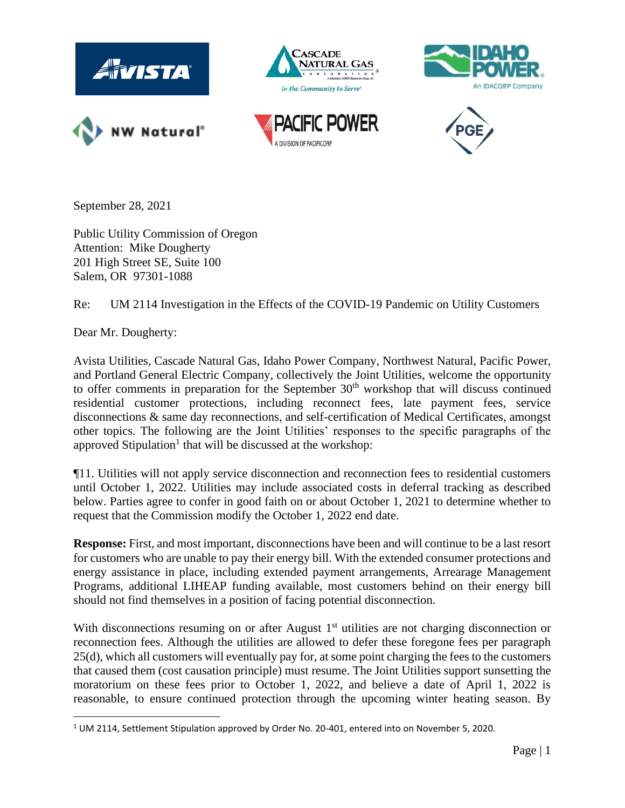

September 28, 2021

Public Utility Commission of Oregon Attention: Mike Dougherty 201 High Street SE, Suite 100 Salem, OR 97301-1088

Re: UM 2114 Investigation in the Effects of the COVID-19 Pandemic on Utility Customers

Dear Mr. Dougherty:

Avista Utilities, Cascade Natural Gas, Idaho Power Company, Northwest Natural, Pacific Power, and Portland General Electric Company, collectively the Joint Utilities, welcome the opportunity to offer comments in preparation for the September  $30<sup>th</sup>$  workshop that will discuss continued residential customer protections, including reconnect fees, late payment fees, service disconnections & same day reconnections, and self-certification of Medical Certificates, amongst other topics. The following are the Joint Utilities' responses to the specific paragraphs of the approved Stipulation<sup>1</sup> that will be discussed at the workshop:

¶11. Utilities will not apply service disconnection and reconnection fees to residential customers until October 1, 2022. Utilities may include associated costs in deferral tracking as described below. Parties agree to confer in good faith on or about October 1, 2021 to determine whether to request that the Commission modify the October 1, 2022 end date.

**Response:** First, and most important, disconnections have been and will continue to be a last resort for customers who are unable to pay their energy bill. With the extended consumer protections and energy assistance in place, including extended payment arrangements, Arrearage Management Programs, additional LIHEAP funding available, most customers behind on their energy bill should not find themselves in a position of facing potential disconnection.

With disconnections resuming on or after August  $1<sup>st</sup>$  utilities are not charging disconnection or reconnection fees. Although the utilities are allowed to defer these foregone fees per paragraph 25(d), which all customers will eventually pay for, at some point charging the fees to the customers that caused them (cost causation principle) must resume. The Joint Utilities support sunsetting the moratorium on these fees prior to October 1, 2022, and believe a date of April 1, 2022 is reasonable, to ensure continued protection through the upcoming winter heating season. By

<sup>1</sup> UM 2114, Settlement Stipulation approved by Order No. 20-401, entered into on November 5, 2020.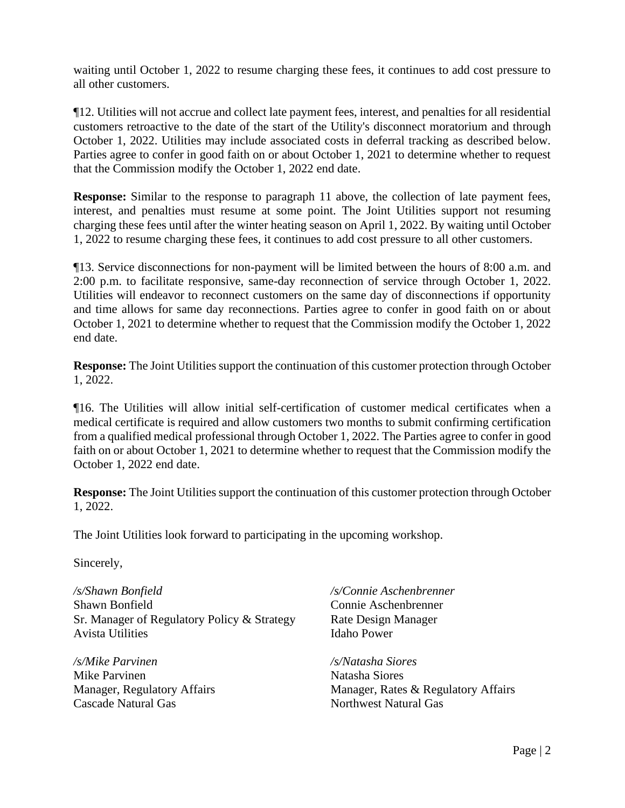waiting until October 1, 2022 to resume charging these fees, it continues to add cost pressure to all other customers.

¶12. Utilities will not accrue and collect late payment fees, interest, and penalties for all residential customers retroactive to the date of the start of the Utility's disconnect moratorium and through October 1, 2022. Utilities may include associated costs in deferral tracking as described below. Parties agree to confer in good faith on or about October 1, 2021 to determine whether to request that the Commission modify the October 1, 2022 end date.

**Response:** Similar to the response to paragraph 11 above, the collection of late payment fees, interest, and penalties must resume at some point. The Joint Utilities support not resuming charging these fees until after the winter heating season on April 1, 2022. By waiting until October 1, 2022 to resume charging these fees, it continues to add cost pressure to all other customers.

¶13. Service disconnections for non-payment will be limited between the hours of 8:00 a.m. and 2:00 p.m. to facilitate responsive, same-day reconnection of service through October 1, 2022. Utilities will endeavor to reconnect customers on the same day of disconnections if opportunity and time allows for same day reconnections. Parties agree to confer in good faith on or about October 1, 2021 to determine whether to request that the Commission modify the October 1, 2022 end date.

**Response:** The Joint Utilities support the continuation of this customer protection through October 1, 2022.

¶16. The Utilities will allow initial self-certification of customer medical certificates when a medical certificate is required and allow customers two months to submit confirming certification from a qualified medical professional through October 1, 2022. The Parties agree to confer in good faith on or about October 1, 2021 to determine whether to request that the Commission modify the October 1, 2022 end date.

**Response:** The Joint Utilities support the continuation of this customer protection through October 1, 2022.

The Joint Utilities look forward to participating in the upcoming workshop.

Sincerely,

*/s/Shawn Bonfield* Shawn Bonfield Sr. Manager of Regulatory Policy & Strategy Avista Utilities

*/s/Mike Parvinen* Mike Parvinen Manager, Regulatory Affairs Cascade Natural Gas

*/s/Connie Aschenbrenner* Connie Aschenbrenner Rate Design Manager Idaho Power

*/s/Natasha Siores* Natasha Siores Manager, Rates & Regulatory Affairs Northwest Natural Gas